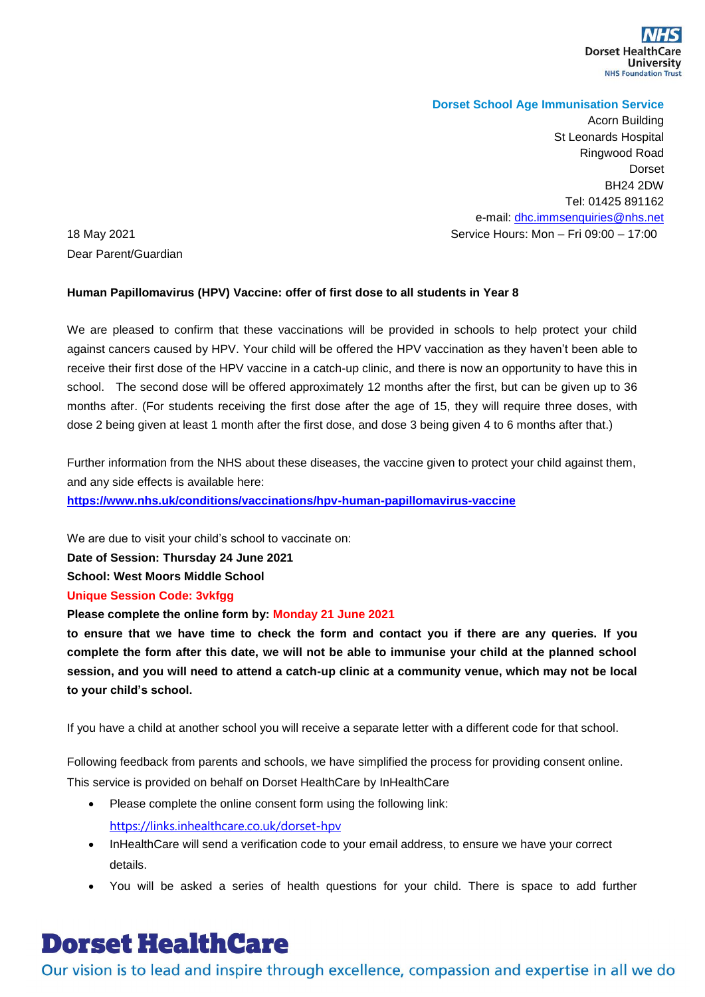### **Dorset School Age Immunisation Service**

Acorn Building St Leonards Hospital Ringwood Road Dorset BH24 2DW Tel: 01425 891162 e-mail: [dhc.immsenquiries@nhs.net](mailto:dhc.immsenquiries@nhs.net) 18 May 2021 Service Hours: Mon – Fri 09:00 – 17:00

Dear Parent/Guardian

### **Human Papillomavirus (HPV) Vaccine: offer of first dose to all students in Year 8**

We are pleased to confirm that these vaccinations will be provided in schools to help protect your child against cancers caused by HPV. Your child will be offered the HPV vaccination as they haven't been able to receive their first dose of the HPV vaccine in a catch-up clinic, and there is now an opportunity to have this in school. The second dose will be offered approximately 12 months after the first, but can be given up to 36 months after. (For students receiving the first dose after the age of 15, they will require three doses, with dose 2 being given at least 1 month after the first dose, and dose 3 being given 4 to 6 months after that.)

Further information from the NHS about these diseases, the vaccine given to protect your child against them, and any side effects is available here:

**<https://www.nhs.uk/conditions/vaccinations/hpv-human-papillomavirus-vaccine>**

We are due to visit your child's school to vaccinate on:

**Date of Session: Thursday 24 June 2021** 

**School: West Moors Middle School**

### **Unique Session Code: 3vkfgg**

**Please complete the online form by: Monday 21 June 2021**

**to ensure that we have time to check the form and contact you if there are any queries. If you complete the form after this date, we will not be able to immunise your child at the planned school session, and you will need to attend a catch-up clinic at a community venue, which may not be local to your child's school.**

If you have a child at another school you will receive a separate letter with a different code for that school.

Following feedback from parents and schools, we have simplified the process for providing consent online. This service is provided on behalf on Dorset HealthCare by InHealthCare

- Please complete the online consent form using the following link: <https://links.inhealthcare.co.uk/dorset-hpv>
- InHealthCare will send a verification code to your email address, to ensure we have your correct details.
- You will be asked a series of health questions for your child. There is space to add further

# **Dorset HealthCare**

Our vision is to lead and inspire through excellence, compassion and expertise in all we do